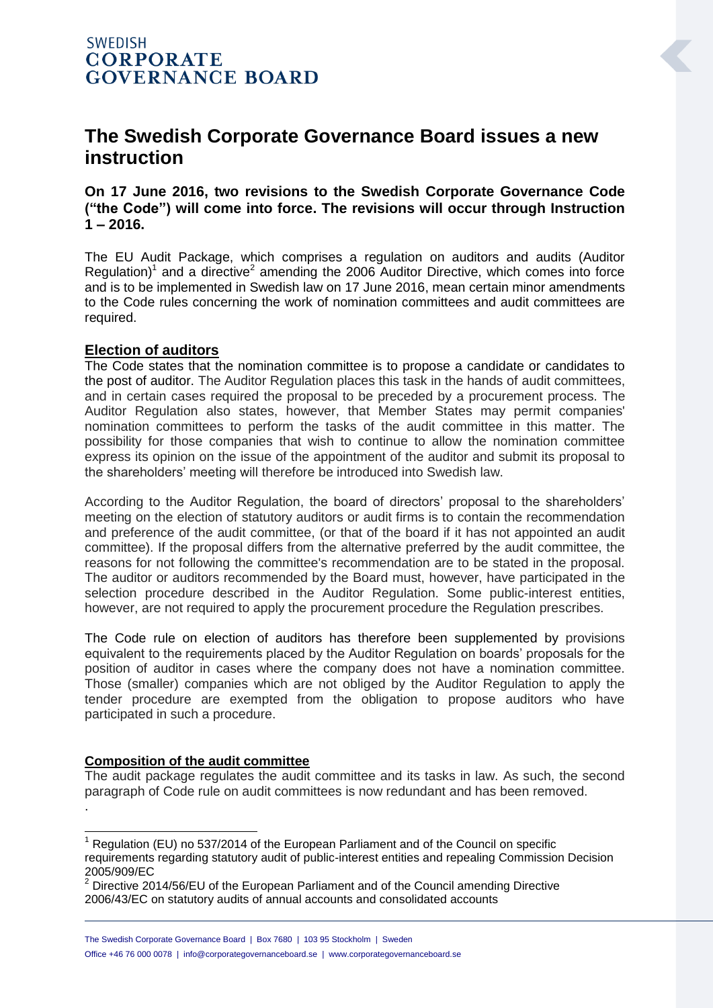# **The Swedish Corporate Governance Board issues a new instruction**

### **On 17 June 2016, two revisions to the Swedish Corporate Governance Code ("the Code") will come into force. The revisions will occur through Instruction 1 – 2016.**

The EU Audit Package, which comprises a regulation on auditors and audits (Auditor Regulation)<sup>1</sup> and a directive<sup>2</sup> amending the 2006 Auditor Directive, which comes into force and is to be implemented in Swedish law on 17 June 2016, mean certain minor amendments to the Code rules concerning the work of nomination committees and audit committees are required.

#### **Election of auditors**

The Code states that the nomination committee is to propose a candidate or candidates to the post of auditor. The Auditor Regulation places this task in the hands of audit committees, and in certain cases required the proposal to be preceded by a procurement process. The Auditor Regulation also states, however, that Member States may permit companies' nomination committees to perform the tasks of the audit committee in this matter. The possibility for those companies that wish to continue to allow the nomination committee express its opinion on the issue of the appointment of the auditor and submit its proposal to the shareholders' meeting will therefore be introduced into Swedish law.

According to the Auditor Regulation, the board of directors' proposal to the shareholders' meeting on the election of statutory auditors or audit firms is to contain the recommendation and preference of the audit committee, (or that of the board if it has not appointed an audit committee). If the proposal differs from the alternative preferred by the audit committee, the reasons for not following the committee's recommendation are to be stated in the proposal. The auditor or auditors recommended by the Board must, however, have participated in the selection procedure described in the Auditor Regulation. Some public-interest entities, however, are not required to apply the procurement procedure the Regulation prescribes.

The Code rule on election of auditors has therefore been supplemented by provisions equivalent to the requirements placed by the Auditor Regulation on boards' proposals for the position of auditor in cases where the company does not have a nomination committee. Those (smaller) companies which are not obliged by the Auditor Regulation to apply the tender procedure are exempted from the obligation to propose auditors who have participated in such a procedure.

#### **Composition of the audit committee**

The audit package regulates the audit committee and its tasks in law. As such, the second paragraph of Code rule on audit committees is now redundant and has been removed. .

<sup>-</sup> $1$  Regulation (EU) no 537/2014 of the European Parliament and of the Council on specific requirements regarding statutory audit of public-interest entities and repealing Commission Decision 2005/909/EC

 $2$  Directive 2014/56/EU of the European Parliament and of the Council amending Directive 2006/43/EC on statutory audits of annual accounts and consolidated accounts